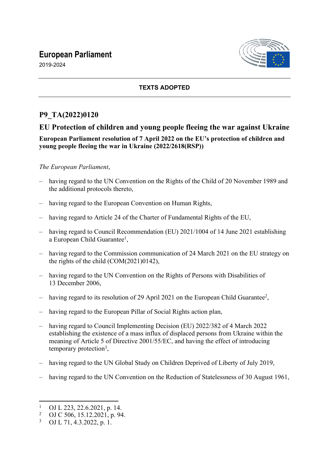# **European Parliament**

2019-2024



# **TEXTS ADOPTED**

# **P9\_TA(2022)0120**

# **EU Protection of children and young people fleeing the war against Ukraine**

## **European Parliament resolution of 7 April 2022 on the EU's protection of children and young people fleeing the war in Ukraine (2022/2618(RSP))**

## *The European Parliament*,

- having regard to the UN Convention on the Rights of the Child of 20 November 1989 and the additional protocols thereto,
- having regard to the European Convention on Human Rights,
- having regard to Article 24 of the Charter of Fundamental Rights of the EU.
- having regard to Council Recommendation (EU) 2021/1004 of 14 June 2021 establishing a European Child Guarantee<sup>1</sup>,
- having regard to the Commission communication of 24 March 2021 on the EU strategy on the rights of the child (COM(2021)0142),
- having regard to the UN Convention on the Rights of Persons with Disabilities of 13 December 2006,
- having regard to its resolution of 29 April 2021 on the European Child Guarantee<sup>2</sup>,
- having regard to the European Pillar of Social Rights action plan,
- having regard to Council Implementing Decision (EU) 2022/382 of 4 March 2022 establishing the existence of a mass influx of displaced persons from Ukraine within the meaning of Article 5 of Directive 2001/55/EC, and having the effect of introducing temporary protection<sup>3</sup>,
- having regard to the UN Global Study on Children Deprived of Liberty of July 2019,
- having regard to the UN Convention on the Reduction of Statelessness of 30 August 1961,

<sup>1</sup> OJ L 223, 22.6.2021, p. 14.

<sup>2</sup> OJ C 506, 15.12.2021, p. 94.

<sup>3</sup> OJ L 71, 4.3.2022, p. 1.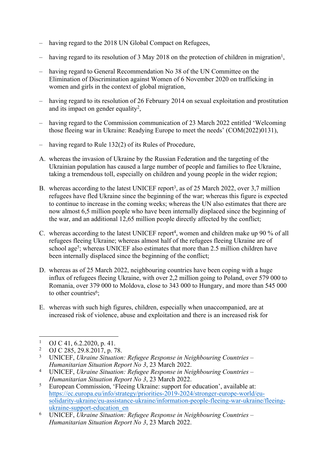- having regard to the 2018 UN Global Compact on Refugees,
- having regard to its resolution of 3 May 2018 on the protection of children in migration<sup>1</sup>,
- having regard to General Recommendation No 38 of the UN Committee on the Elimination of Discrimination against Women of 6 November 2020 on trafficking in women and girls in the context of global migration,
- having regard to its resolution of 26 February 2014 on sexual exploitation and prostitution and its impact on gender equality<sup>2</sup>,
- having regard to the Commission communication of 23 March 2022 entitled 'Welcoming those fleeing war in Ukraine: Readying Europe to meet the needs' (COM(2022)0131),
- having regard to Rule 132(2) of its Rules of Procedure,
- A. whereas the invasion of Ukraine by the Russian Federation and the targeting of the Ukrainian population has caused a large number of people and families to flee Ukraine, taking a tremendous toll, especially on children and young people in the wider region;
- B. whereas according to the latest UNICEF report<sup>3</sup>, as of 25 March 2022, over 3,7 million refugees have fled Ukraine since the beginning of the war; whereas this figure is expected to continue to increase in the coming weeks; whereas the UN also estimates that there are now almost 6,5 million people who have been internally displaced since the beginning of the war, and an additional 12,65 million people directly affected by the conflict;
- C. whereas according to the latest UNICEF report<sup>4</sup>, women and children make up 90 % of all refugees fleeing Ukraine; whereas almost half of the refugees fleeing Ukraine are of school age<sup>5</sup>; whereas UNICEF also estimates that more than 2.5 million children have been internally displaced since the beginning of the conflict;
- D. whereas as of 25 March 2022, neighbouring countries have been coping with a huge influx of refugees fleeing Ukraine, with over 2,2 million going to Poland, over 579 000 to Romania, over 379 000 to Moldova, close to 343 000 to Hungary, and more than 545 000 to other countries<sup>6</sup>;
- E. whereas with such high figures, children, especially when unaccompanied, are at increased risk of violence, abuse and exploitation and there is an increased risk for

4 UNICEF, *Ukraine Situation: Refugee Response in Neighbouring Countries – Humanitarian Situation Report No 3*, 23 March 2022.

<sup>1</sup> OJ C 41, 6.2.2020, p. 41.

 $2<sup>2</sup>$ OJ C 285, 29.8.2017, p. 78.

<sup>3</sup> UNICEF, *Ukraine Situation: Refugee Response in Neighbouring Countries – Humanitarian Situation Report No 3*, 23 March 2022.

<sup>5</sup> European Commission, 'Fleeing Ukraine: support for education', available at: [https://ec.europa.eu/info/strategy/priorities-2019-2024/stronger-europe-world/eu](https://ec.europa.eu/info/strategy/priorities-2019-2024/stronger-europe-world/eu-solidarity-ukraine/eu-assistance-ukraine/information-people-fleeing-war-ukraine/fleeing-ukraine-support-education_en)[solidarity-ukraine/eu-assistance-ukraine/information-people-fleeing-war-ukraine/fleeing](https://ec.europa.eu/info/strategy/priorities-2019-2024/stronger-europe-world/eu-solidarity-ukraine/eu-assistance-ukraine/information-people-fleeing-war-ukraine/fleeing-ukraine-support-education_en)[ukraine-support-education\\_en](https://ec.europa.eu/info/strategy/priorities-2019-2024/stronger-europe-world/eu-solidarity-ukraine/eu-assistance-ukraine/information-people-fleeing-war-ukraine/fleeing-ukraine-support-education_en)

<sup>6</sup> UNICEF, *Ukraine Situation: Refugee Response in Neighbouring Countries – Humanitarian Situation Report No 3*, 23 March 2022.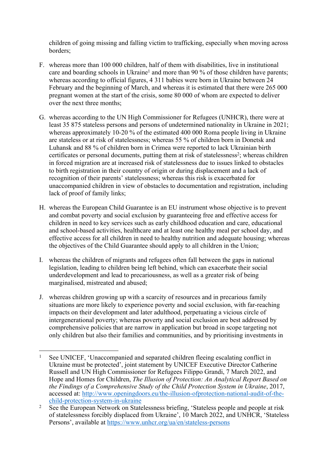children of going missing and falling victim to trafficking, especially when moving across borders;

- F. whereas more than 100 000 children, half of them with disabilities, live in institutional care and boarding schools in Ukraine<sup>1</sup> and more than 90 % of those children have parents; whereas according to official figures, 4 311 babies were born in Ukraine between 24 February and the beginning of March, and whereas it is estimated that there were 265 000 pregnant women at the start of the crisis, some 80 000 of whom are expected to deliver over the next three months;
- G. whereas according to the UN High Commissioner for Refugees (UNHCR), there were at least 35 875 stateless persons and persons of undetermined nationality in Ukraine in 2021; whereas approximately 10-20 % of the estimated 400 000 Roma people living in Ukraine are stateless or at risk of statelessness; whereas 55 % of children born in Donetsk and Luhansk and 88 % of children born in Crimea were reported to lack Ukrainian birth certificates or personal documents, putting them at risk of statelessness<sup>2</sup>; whereas children in forced migration are at increased risk of statelessness due to issues linked to obstacles to birth registration in their country of origin or during displacement and a lack of recognition of their parents' statelessness; whereas this risk is exacerbated for unaccompanied children in view of obstacles to documentation and registration, including lack of proof of family links;
- H. whereas the European Child Guarantee is an EU instrument whose objective is to prevent and combat poverty and social exclusion by guaranteeing free and effective access for children in need to key services such as early childhood education and care, educational and school-based activities, healthcare and at least one healthy meal per school day, and effective access for all children in need to healthy nutrition and adequate housing; whereas the objectives of the Child Guarantee should apply to all children in the Union;
- I. whereas the children of migrants and refugees often fall between the gaps in national legislation, leading to children being left behind, which can exacerbate their social underdevelopment and lead to precariousness, as well as a greater risk of being marginalised, mistreated and abused;
- J. whereas children growing up with a scarcity of resources and in precarious family situations are more likely to experience poverty and social exclusion, with far-reaching impacts on their development and later adulthood, perpetuating a vicious circle of intergenerational poverty; whereas poverty and social exclusion are best addressed by comprehensive policies that are narrow in application but broad in scope targeting not only children but also their families and communities, and by prioritising investments in

<sup>1</sup> See UNICEF, 'Unaccompanied and separated children fleeing escalating conflict in Ukraine must be protected', joint statement by UNICEF Executive Director Catherine Russell and UN High Commissioner for Refugees Filippo Grandi, 7 March 2022, and Hope and Homes for Children, *The Illusion of Protection: An Analytical Report Based on the Findings of a Comprehensive Study of the Child Protection System in Ukraine*, 2017, accessed at: [http://www.openingdoors.eu/the-illusion-ofprotection-national-audit-of-the](http://www.openingdoors.eu/the-illusion-ofprotection-national-audit-of-the-child-protection-system-in-ukraine)[child-protection-system-in-ukraine](http://www.openingdoors.eu/the-illusion-ofprotection-national-audit-of-the-child-protection-system-in-ukraine)

<sup>2</sup> See the European Network on Statelessness briefing, 'Stateless people and people at risk of statelessness forcibly displaced from Ukraine', 10 March 2022, and UNHCR, 'Stateless Persons', available at<https://www.unhcr.org/ua/en/stateless-persons>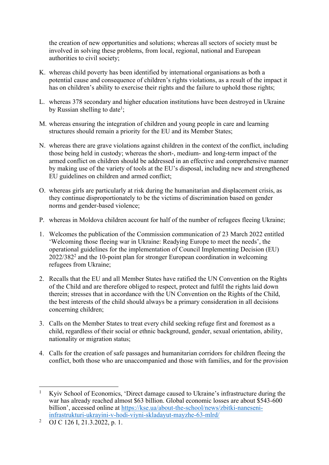the creation of new opportunities and solutions; whereas all sectors of society must be involved in solving these problems, from local, regional, national and European authorities to civil society;

- K. whereas child poverty has been identified by international organisations as both a potential cause and consequence of children's rights violations, as a result of the impact it has on children's ability to exercise their rights and the failure to uphold those rights;
- L. whereas 378 secondary and higher education institutions have been destroyed in Ukraine by Russian shelling to date<sup>1</sup>;
- M. whereas ensuring the integration of children and young people in care and learning structures should remain a priority for the EU and its Member States;
- N. whereas there are grave violations against children in the context of the conflict, including those being held in custody; whereas the short-, medium- and long-term impact of the armed conflict on children should be addressed in an effective and comprehensive manner by making use of the variety of tools at the EU's disposal, including new and strengthened EU guidelines on children and armed conflict;
- O. whereas girls are particularly at risk during the humanitarian and displacement crisis, as they continue disproportionately to be the victims of discrimination based on gender norms and gender-based violence;
- P. whereas in Moldova children account for half of the number of refugees fleeing Ukraine;
- 1. Welcomes the publication of the Commission communication of 23 March 2022 entitled 'Welcoming those fleeing war in Ukraine: Readying Europe to meet the needs', the operational guidelines for the implementation of Council Implementing Decision (EU) 2022/382<sup>2</sup> and the 10-point plan for stronger European coordination in welcoming refugees from Ukraine;
- 2. Recalls that the EU and all Member States have ratified the UN Convention on the Rights of the Child and are therefore obliged to respect, protect and fulfil the rights laid down therein; stresses that in accordance with the UN Convention on the Rights of the Child, the best interests of the child should always be a primary consideration in all decisions concerning children;
- 3. Calls on the Member States to treat every child seeking refuge first and foremost as a child, regardless of their social or ethnic background, gender, sexual orientation, ability, nationality or migration status;
- 4. Calls for the creation of safe passages and humanitarian corridors for children fleeing the conflict, both those who are unaccompanied and those with families, and for the provision

<sup>1</sup> Kyiv School of Economics, 'Direct damage caused to Ukraine's infrastructure during the war has already reached almost \$63 billion. Global economic losses are about \$543-600 billion', accessed online at [https://kse.ua/about-the-school/news/zbitki-naneseni](https://kse.ua/about-the-school/news/zbitki-naneseni-infrastrukturi-ukrayini-v-hodi-viyni-skladayut-mayzhe-63-mlrd/)[infrastrukturi-ukrayini-v-hodi-viyni-skladayut-mayzhe-63-mlrd/](https://kse.ua/about-the-school/news/zbitki-naneseni-infrastrukturi-ukrayini-v-hodi-viyni-skladayut-mayzhe-63-mlrd/)

<sup>2</sup> OJ C 126 I, 21.3.2022, p. 1.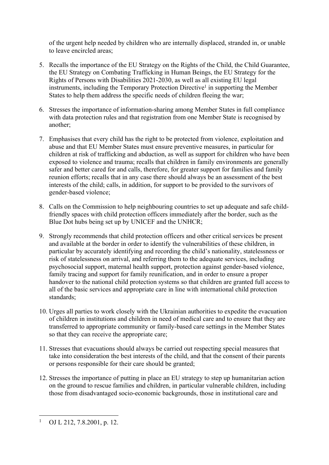of the urgent help needed by children who are internally displaced, stranded in, or unable to leave encircled areas;

- 5. Recalls the importance of the EU Strategy on the Rights of the Child, the Child Guarantee, the EU Strategy on Combating Trafficking in Human Beings, the EU Strategy for the Rights of Persons with Disabilities 2021-2030, as well as all existing EU legal instruments, including the Temporary Protection Directive<sup>1</sup> in supporting the Member States to help them address the specific needs of children fleeing the war;
- 6. Stresses the importance of information-sharing among Member States in full compliance with data protection rules and that registration from one Member State is recognised by another;
- 7. Emphasises that every child has the right to be protected from violence, exploitation and abuse and that EU Member States must ensure preventive measures, in particular for children at risk of trafficking and abduction, as well as support for children who have been exposed to violence and trauma; recalls that children in family environments are generally safer and better cared for and calls, therefore, for greater support for families and family reunion efforts; recalls that in any case there should always be an assessment of the best interests of the child; calls, in addition, for support to be provided to the survivors of gender-based violence;
- 8. Calls on the Commission to help neighbouring countries to set up adequate and safe childfriendly spaces with child protection officers immediately after the border, such as the Blue Dot hubs being set up by UNICEF and the UNHCR;
- 9. Strongly recommends that child protection officers and other critical services be present and available at the border in order to identify the vulnerabilities of these children, in particular by accurately identifying and recording the child's nationality, statelessness or risk of statelessness on arrival, and referring them to the adequate services, including psychosocial support, maternal health support, protection against gender-based violence, family tracing and support for family reunification, and in order to ensure a proper handover to the national child protection systems so that children are granted full access to all of the basic services and appropriate care in line with international child protection standards;
- 10. Urges all parties to work closely with the Ukrainian authorities to expedite the evacuation of children in institutions and children in need of medical care and to ensure that they are transferred to appropriate community or family-based care settings in the Member States so that they can receive the appropriate care;
- 11. Stresses that evacuations should always be carried out respecting special measures that take into consideration the best interests of the child, and that the consent of their parents or persons responsible for their care should be granted;
- 12. Stresses the importance of putting in place an EU strategy to step up humanitarian action on the ground to rescue families and children, in particular vulnerable children, including those from disadvantaged socio-economic backgrounds, those in institutional care and

<sup>1</sup> OJ L 212, 7.8.2001, p. 12.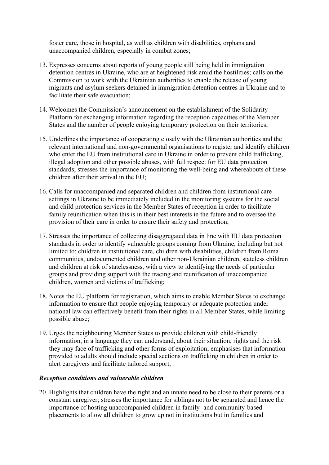foster care, those in hospital, as well as children with disabilities, orphans and unaccompanied children, especially in combat zones;

- 13. Expresses concerns about reports of young people still being held in immigration detention centres in Ukraine, who are at heightened risk amid the hostilities; calls on the Commission to work with the Ukrainian authorities to enable the release of young migrants and asylum seekers detained in immigration detention centres in Ukraine and to facilitate their safe evacuation;
- 14. Welcomes the Commission's announcement on the establishment of the Solidarity Platform for exchanging information regarding the reception capacities of the Member States and the number of people enjoying temporary protection on their territories;
- 15. Underlines the importance of cooperating closely with the Ukrainian authorities and the relevant international and non-governmental organisations to register and identify children who enter the EU from institutional care in Ukraine in order to prevent child trafficking, illegal adoption and other possible abuses, with full respect for EU data protection standards; stresses the importance of monitoring the well-being and whereabouts of these children after their arrival in the EU;
- 16. Calls for unaccompanied and separated children and children from institutional care settings in Ukraine to be immediately included in the monitoring systems for the social and child protection services in the Member States of reception in order to facilitate family reunification when this is in their best interests in the future and to oversee the provision of their care in order to ensure their safety and protection;
- 17. Stresses the importance of collecting disaggregated data in line with EU data protection standards in order to identify vulnerable groups coming from Ukraine, including but not limited to: children in institutional care, children with disabilities, children from Roma communities, undocumented children and other non-Ukrainian children, stateless children and children at risk of statelessness, with a view to identifying the needs of particular groups and providing support with the tracing and reunification of unaccompanied children, women and victims of trafficking;
- 18. Notes the EU platform for registration, which aims to enable Member States to exchange information to ensure that people enjoying temporary or adequate protection under national law can effectively benefit from their rights in all Member States, while limiting possible abuse;
- 19. Urges the neighbouring Member States to provide children with child-friendly information, in a language they can understand, about their situation, rights and the risk they may face of trafficking and other forms of exploitation; emphasises that information provided to adults should include special sections on trafficking in children in order to alert caregivers and facilitate tailored support;

### *Reception conditions and vulnerable children*

20. Highlights that children have the right and an innate need to be close to their parents or a constant caregiver; stresses the importance for siblings not to be separated and hence the importance of hosting unaccompanied children in family- and community-based placements to allow all children to grow up not in institutions but in families and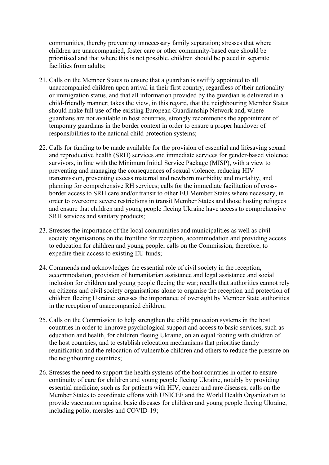communities, thereby preventing unnecessary family separation; stresses that where children are unaccompanied, foster care or other community-based care should be prioritised and that where this is not possible, children should be placed in separate facilities from adults;

- 21. Calls on the Member States to ensure that a guardian is swiftly appointed to all unaccompanied children upon arrival in their first country, regardless of their nationality or immigration status, and that all information provided by the guardian is delivered in a child-friendly manner; takes the view, in this regard, that the neighbouring Member States should make full use of the existing European Guardianship Network and, where guardians are not available in host countries, strongly recommends the appointment of temporary guardians in the border context in order to ensure a proper handover of responsibilities to the national child protection systems;
- 22. Calls for funding to be made available for the provision of essential and lifesaving sexual and reproductive health (SRH) services and immediate services for gender-based violence survivors, in line with the Minimum Initial Service Package (MISP), with a view to preventing and managing the consequences of sexual violence, reducing HIV transmission, preventing excess maternal and newborn morbidity and mortality, and planning for comprehensive RH services; calls for the immediate facilitation of crossborder access to SRH care and/or transit to other EU Member States where necessary, in order to overcome severe restrictions in transit Member States and those hosting refugees and ensure that children and young people fleeing Ukraine have access to comprehensive SRH services and sanitary products;
- 23. Stresses the importance of the local communities and municipalities as well as civil society organisations on the frontline for reception, accommodation and providing access to education for children and young people; calls on the Commission, therefore, to expedite their access to existing EU funds;
- 24. Commends and acknowledges the essential role of civil society in the reception, accommodation, provision of humanitarian assistance and legal assistance and social inclusion for children and young people fleeing the war; recalls that authorities cannot rely on citizens and civil society organisations alone to organise the reception and protection of children fleeing Ukraine; stresses the importance of oversight by Member State authorities in the reception of unaccompanied children;
- 25. Calls on the Commission to help strengthen the child protection systems in the host countries in order to improve psychological support and access to basic services, such as education and health, for children fleeing Ukraine, on an equal footing with children of the host countries, and to establish relocation mechanisms that prioritise family reunification and the relocation of vulnerable children and others to reduce the pressure on the neighbouring countries;
- 26. Stresses the need to support the health systems of the host countries in order to ensure continuity of care for children and young people fleeing Ukraine, notably by providing essential medicine, such as for patients with HIV, cancer and rare diseases; calls on the Member States to coordinate efforts with UNICEF and the World Health Organization to provide vaccination against basic diseases for children and young people fleeing Ukraine, including polio, measles and COVID-19;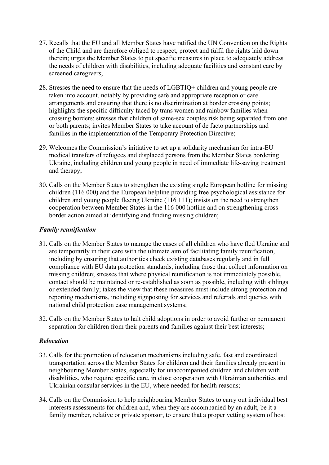- 27. Recalls that the EU and all Member States have ratified the UN Convention on the Rights of the Child and are therefore obliged to respect, protect and fulfil the rights laid down therein; urges the Member States to put specific measures in place to adequately address the needs of children with disabilities, including adequate facilities and constant care by screened caregivers;
- 28. Stresses the need to ensure that the needs of LGBTIQ+ children and young people are taken into account, notably by providing safe and appropriate reception or care arrangements and ensuring that there is no discrimination at border crossing points; highlights the specific difficulty faced by trans women and rainbow families when crossing borders; stresses that children of same-sex couples risk being separated from one or both parents; invites Member States to take account of de facto partnerships and families in the implementation of the Temporary Protection Directive;
- 29. Welcomes the Commission's initiative to set up a solidarity mechanism for intra-EU medical transfers of refugees and displaced persons from the Member States bordering Ukraine, including children and young people in need of immediate life-saving treatment and therapy;
- 30. Calls on the Member States to strengthen the existing single European hotline for missing children (116 000) and the European helpline providing free psychological assistance for children and young people fleeing Ukraine (116 111); insists on the need to strengthen cooperation between Member States in the 116 000 hotline and on strengthening crossborder action aimed at identifying and finding missing children;

### *Family reunification*

- 31. Calls on the Member States to manage the cases of all children who have fled Ukraine and are temporarily in their care with the ultimate aim of facilitating family reunification, including by ensuring that authorities check existing databases regularly and in full compliance with EU data protection standards, including those that collect information on missing children; stresses that where physical reunification is not immediately possible, contact should be maintained or re-established as soon as possible, including with siblings or extended family; takes the view that these measures must include strong protection and reporting mechanisms, including signposting for services and referrals and queries with national child protection case management systems;
- 32. Calls on the Member States to halt child adoptions in order to avoid further or permanent separation for children from their parents and families against their best interests;

### *Relocation*

- 33. Calls for the promotion of relocation mechanisms including safe, fast and coordinated transportation across the Member States for children and their families already present in neighbouring Member States, especially for unaccompanied children and children with disabilities, who require specific care, in close cooperation with Ukrainian authorities and Ukrainian consular services in the EU, where needed for health reasons;
- 34. Calls on the Commission to help neighbouring Member States to carry out individual best interests assessments for children and, when they are accompanied by an adult, be it a family member, relative or private sponsor, to ensure that a proper vetting system of host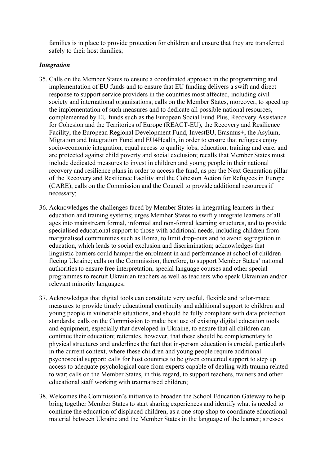families is in place to provide protection for children and ensure that they are transferred safely to their host families;

#### *Integration*

- 35. Calls on the Member States to ensure a coordinated approach in the programming and implementation of EU funds and to ensure that EU funding delivers a swift and direct response to support service providers in the countries most affected, including civil society and international organisations; calls on the Member States, moreover, to speed up the implementation of such measures and to dedicate all possible national resources, complemented by EU funds such as the European Social Fund Plus, Recovery Assistance for Cohesion and the Territories of Europe (REACT-EU), the Recovery and Resilience Facility, the European Regional Development Fund, InvestEU, Erasmus+, the Asylum, Migration and Integration Fund and EU4Health, in order to ensure that refugees enjoy socio-economic integration, equal access to quality jobs, education, training and care, and are protected against child poverty and social exclusion; recalls that Member States must include dedicated measures to invest in children and young people in their national recovery and resilience plans in order to access the fund, as per the Next Generation pillar of the Recovery and Resilience Facility and the Cohesion Action for Refugees in Europe (CARE); calls on the Commission and the Council to provide additional resources if necessary;
- 36. Acknowledges the challenges faced by Member States in integrating learners in their education and training systems; urges Member States to swiftly integrate learners of all ages into mainstream formal, informal and non-formal learning structures, and to provide specialised educational support to those with additional needs, including children from marginalised communities such as Roma, to limit drop-outs and to avoid segregation in education, which leads to social exclusion and discrimination; acknowledges that linguistic barriers could hamper the enrolment in and performance at school of children fleeing Ukraine; calls on the Commission, therefore, to support Member States' national authorities to ensure free interpretation, special language courses and other special programmes to recruit Ukrainian teachers as well as teachers who speak Ukrainian and/or relevant minority languages;
- 37. Acknowledges that digital tools can constitute very useful, flexible and tailor-made measures to provide timely educational continuity and additional support to children and young people in vulnerable situations, and should be fully compliant with data protection standards; calls on the Commission to make best use of existing digital education tools and equipment, especially that developed in Ukraine, to ensure that all children can continue their education; reiterates, however, that these should be complementary to physical structures and underlines the fact that in-person education is crucial, particularly in the current context, where these children and young people require additional psychosocial support; calls for host countries to be given concerted support to step up access to adequate psychological care from experts capable of dealing with trauma related to war; calls on the Member States, in this regard, to support teachers, trainers and other educational staff working with traumatised children;
- 38. Welcomes the Commission's initiative to broaden the School Education Gateway to help bring together Member States to start sharing experiences and identify what is needed to continue the education of displaced children, as a one-stop shop to coordinate educational material between Ukraine and the Member States in the language of the learner; stresses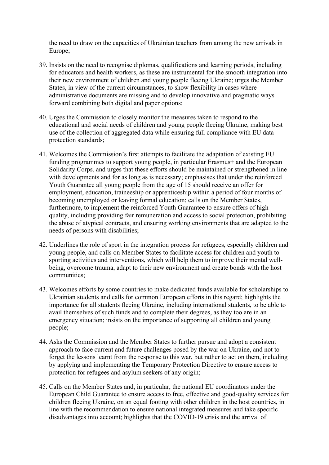the need to draw on the capacities of Ukrainian teachers from among the new arrivals in Europe;

- 39. Insists on the need to recognise diplomas, qualifications and learning periods, including for educators and health workers, as these are instrumental for the smooth integration into their new environment of children and young people fleeing Ukraine; urges the Member States, in view of the current circumstances, to show flexibility in cases where administrative documents are missing and to develop innovative and pragmatic ways forward combining both digital and paper options;
- 40. Urges the Commission to closely monitor the measures taken to respond to the educational and social needs of children and young people fleeing Ukraine, making best use of the collection of aggregated data while ensuring full compliance with EU data protection standards;
- 41. Welcomes the Commission's first attempts to facilitate the adaptation of existing EU funding programmes to support young people, in particular Erasmus+ and the European Solidarity Corps, and urges that these efforts should be maintained or strengthened in line with developments and for as long as is necessary; emphasises that under the reinforced Youth Guarantee all young people from the age of 15 should receive an offer for employment, education, traineeship or apprenticeship within a period of four months of becoming unemployed or leaving formal education; calls on the Member States, furthermore, to implement the reinforced Youth Guarantee to ensure offers of high quality, including providing fair remuneration and access to social protection, prohibiting the abuse of atypical contracts, and ensuring working environments that are adapted to the needs of persons with disabilities;
- 42. Underlines the role of sport in the integration process for refugees, especially children and young people, and calls on Member States to facilitate access for children and youth to sporting activities and interventions, which will help them to improve their mental wellbeing, overcome trauma, adapt to their new environment and create bonds with the host communities;
- 43. Welcomes efforts by some countries to make dedicated funds available for scholarships to Ukrainian students and calls for common European efforts in this regard; highlights the importance for all students fleeing Ukraine, including international students, to be able to avail themselves of such funds and to complete their degrees, as they too are in an emergency situation; insists on the importance of supporting all children and young people;
- 44. Asks the Commission and the Member States to further pursue and adopt a consistent approach to face current and future challenges posed by the war on Ukraine, and not to forget the lessons learnt from the response to this war, but rather to act on them, including by applying and implementing the Temporary Protection Directive to ensure access to protection for refugees and asylum seekers of any origin;
- 45. Calls on the Member States and, in particular, the national EU coordinators under the European Child Guarantee to ensure access to free, effective and good-quality services for children fleeing Ukraine, on an equal footing with other children in the host countries, in line with the recommendation to ensure national integrated measures and take specific disadvantages into account; highlights that the COVID-19 crisis and the arrival of